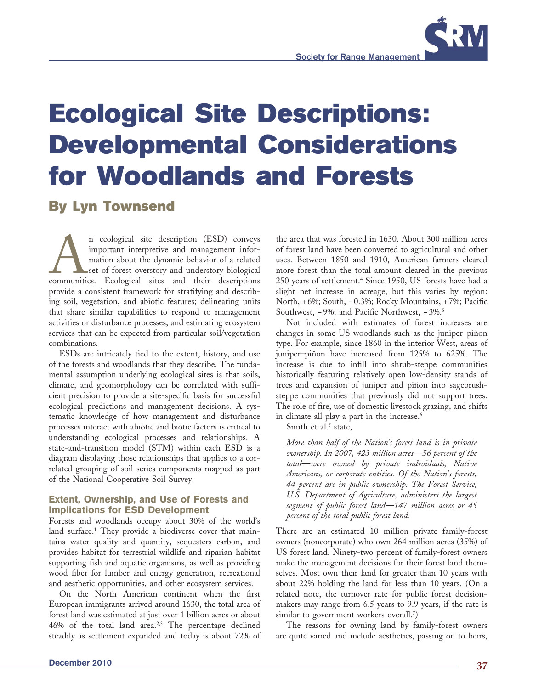

# **By Lyn Townsend**

n ecological site description (ESD) conveys<br>
important interpretive and management infor-<br>
mation about the dynamic behavior of a related<br>
set of forest overstory and understory biological<br>
communities. Ecological sites an important interpretive and management information about the dynamic behavior of a related set of forest overstory and understory biological provide a consistent framework for stratifying and describing soil, vegetation, and abiotic features; delineating units that share similar capabilities to respond to management activities or disturbance processes; and estimating ecosystem services that can be expected from particular soil/vegetation combinations.

ESDs are intricately tied to the extent, history, and use of the forests and woodlands that they describe. The fundamental assumption underlying ecological sites is that soils, climate, and geomorphology can be correlated with sufficient precision to provide a site-specific basis for successful ecological predictions and management decisions. A systematic knowledge of how management and disturbance processes interact with abiotic and biotic factors is critical to understanding ecological processes and relationships. A state-and-transition model (STM) within each ESD is a diagram displaying those relationships that applies to a correlated grouping of soil series components mapped as part of the National Cooperative Soil Survey.

## **Extent, Ownership, and Use of Forests and Implications for ESD Development**

Forests and woodlands occupy about 30% of the world's land surface.1 They provide a biodiverse cover that maintains water quality and quantity, sequesters carbon, and provides habitat for terrestrial wildlife and riparian habitat supporting fish and aquatic organisms, as well as providing wood fiber for lumber and energy generation, recreational and aesthetic opportunities, and other ecosystem services.

On the North American continent when the first European immigrants arrived around 1630, the total area of forest land was estimated at just over 1 billion acres or about 46% of the total land area.2,3 The percentage declined steadily as settlement expanded and today is about 72% of the area that was forested in 1630. About 300 million acres of forest land have been converted to agricultural and other uses. Between 1850 and 1910, American farmers cleared more forest than the total amount cleared in the previous 250 years of settlement.4 Since 1950, US forests have had a slight net increase in acreage, but this varies by region: North, +6%; South, -0.3%; Rocky Mountains, +7%; Pacific Southwest, −9%; and Pacific Northwest, −3%.<sup>5</sup>

Not included with estimates of forest increases are changes in some US woodlands such as the juniper–piñon type. For example, since 1860 in the interior West, areas of juniper–piñon have increased from 125% to 625%. The increase is due to infill into shrub-steppe communities historically featuring relatively open low-density stands of trees and expansion of juniper and piñon into sagebrushsteppe communities that previously did not support trees. The role of fire, use of domestic livestock grazing, and shifts in climate all play a part in the increase.<sup>6</sup>

Smith et al.<sup>5</sup> state,

 *More than half of the Nation's forest land is in private ownership. In 2007, 423 million acres—56 percent of the total—were owned by private individuals, Native Americans, or corporate entities. Of the Nation's forests, 44 percent are in public ownership. The Forest Service, U.S. Department of Agriculture, administers the largest segment of public forest land—147 million acres or 45 percent of the total public forest land.*

There are an estimated 10 million private family-forest owners (noncorporate) who own 264 million acres (35%) of US forest land. Ninety-two percent of family-forest owners make the management decisions for their forest land themselves. Most own their land for greater than 10 years with about 22% holding the land for less than 10 years. (On a related note, the turnover rate for public forest decisionmakers may range from 6.5 years to 9.9 years, if the rate is similar to government workers overall.7 )

The reasons for owning land by family-forest owners are quite varied and include aesthetics, passing on to heirs,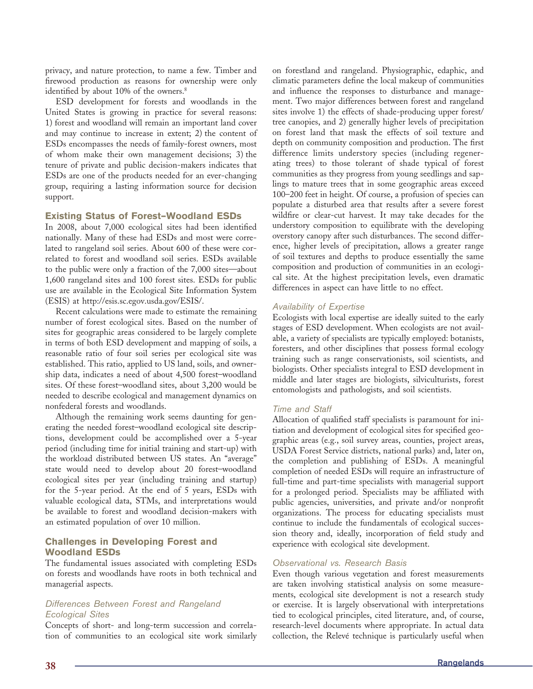privacy, and nature protection, to name a few. Timber and firewood production as reasons for ownership were only identified by about 10% of the owners.<sup>8</sup>

ESD development for forests and woodlands in the United States is growing in practice for several reasons: 1) forest and woodland will remain an important land cover and may continue to increase in extent; 2) the content of ESDs encompasses the needs of family-forest owners, most of whom make their own management decisions; 3) the tenure of private and public decision-makers indicates that ESDs are one of the products needed for an ever-changing group, requiring a lasting information source for decision support.

#### **Existing Status of Forest–Woodland ESDs**

In 2008, about 7,000 ecological sites had been identified nationally. Many of these had ESDs and most were correlated to rangeland soil series. About 600 of these were correlated to forest and woodland soil series. ESDs available to the public were only a fraction of the 7,000 sites—about 1,600 rangeland sites and 100 forest sites. ESDs for public use are available in the Ecological Site Information System (ESIS) at http://esis.sc.egov.usda.gov/ESIS/.

Recent calculations were made to estimate the remaining number of forest ecological sites. Based on the number of sites for geographic areas considered to be largely complete in terms of both ESD development and mapping of soils, a reasonable ratio of four soil series per ecological site was established. This ratio, applied to US land, soils, and ownership data, indicates a need of about 4,500 forest–woodland sites. Of these forest–woodland sites, about 3,200 would be needed to describe ecological and management dynamics on nonfederal forests and woodlands.

Although the remaining work seems daunting for generating the needed forest–woodland ecological site descriptions, development could be accomplished over a 5-year period (including time for initial training and start-up) with the workload distributed between US states. An "average" state would need to develop about 20 forest–woodland ecological sites per year (including training and startup) for the 5-year period. At the end of 5 years, ESDs with valuable ecological data, STMs, and interpretations would be available to forest and woodland decision-makers with an estimated population of over 10 million.

## **Challenges in Developing Forest and Woodland ESDs**

The fundamental issues associated with completing ESDs on forests and woodlands have roots in both technical and managerial aspects.

# *Differences Between Forest and Rangeland Ecological Sites*

Concepts of short- and long-term succession and correlation of communities to an ecological site work similarly on forestland and rangeland. Physiographic, edaphic, and climatic parameters define the local makeup of communities and influence the responses to disturbance and management. Two major differences between forest and rangeland sites involve 1) the effects of shade-producing upper forest/ tree canopies, and 2) generally higher levels of precipitation on forest land that mask the effects of soil texture and depth on community composition and production. The first difference limits understory species (including regenerating trees) to those tolerant of shade typical of forest communities as they progress from young seedlings and saplings to mature trees that in some geographic areas exceed 100–200 feet in height. Of course, a profusion of species can populate a disturbed area that results after a severe forest wildfire or clear-cut harvest. It may take decades for the understory composition to equilibrate with the developing overstory canopy after such disturbances. The second difference, higher levels of precipitation, allows a greater range of soil textures and depths to produce essentially the same composition and production of communities in an ecological site. At the highest precipitation levels, even dramatic differences in aspect can have little to no effect.

#### *Availability of Expertise*

Ecologists with local expertise are ideally suited to the early stages of ESD development. When ecologists are not available, a variety of specialists are typically employed: botanists, foresters, and other disciplines that possess formal ecology training such as range conservationists, soil scientists, and biologists. Other specialists integral to ESD development in middle and later stages are biologists, silviculturists, forest entomologists and pathologists, and soil scientists.

## *Time and Staff*

Allocation of qualified staff specialists is paramount for initiation and development of ecological sites for specified geographic areas (e.g., soil survey areas, counties, project areas, USDA Forest Service districts, national parks) and, later on, the completion and publishing of ESDs. A meaningful completion of needed ESDs will require an infrastructure of full-time and part-time specialists with managerial support for a prolonged period. Specialists may be affiliated with public agencies, universities, and private and/or nonprofit organizations. The process for educating specialists must continue to include the fundamentals of ecological succession theory and, ideally, incorporation of field study and experience with ecological site development.

#### *Observational vs. Research Basis*

Even though various vegetation and forest measurements are taken involving statistical analysis on some measurements, ecological site development is not a research study or exercise. It is largely observational with interpretations tied to ecological principles, cited literature, and, of course, research-level documents where appropriate. In actual data collection, the Relevé technique is particularly useful when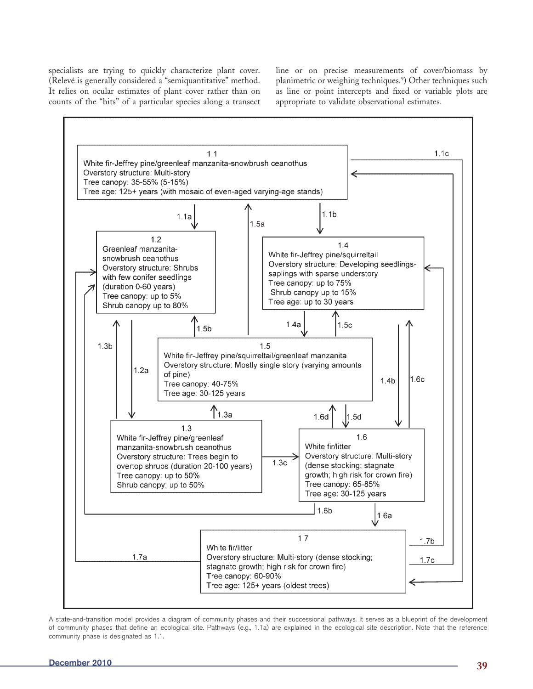specialists are trying to quickly characterize plant cover. (Relevé is generally considered a "semiquantitative" method. It relies on ocular estimates of plant cover rather than on counts of the "hits" of a particular species along a transect line or on precise measurements of cover/biomass by planimetric or weighing techniques.9 ) Other techniques such as line or point intercepts and fixed or variable plots are appropriate to validate observational estimates.



A state-and-transition model provides a diagram of community phases and their successional pathways. It serves as a blueprint of the development of community phases that define an ecological site. Pathways (e.g., 1.1a) are explained in the ecological site description. Note that the reference community phase is designated as 1.1.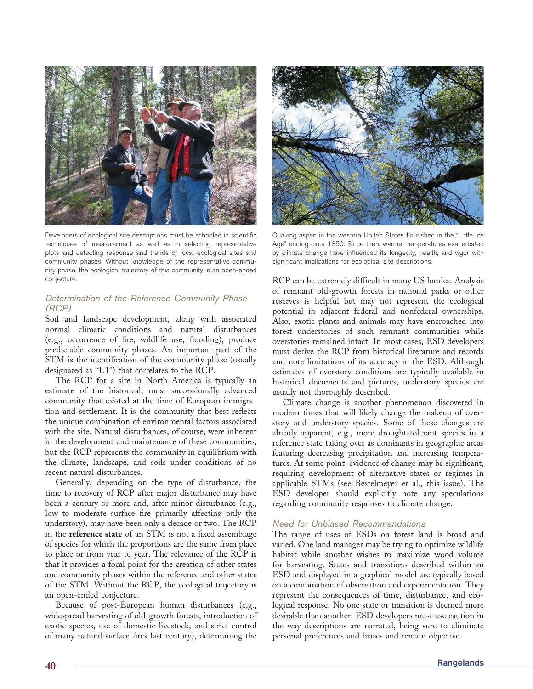

Developers of ecological site descriptions must be schooled in scientific techniques of measurement as well as in selecting representative plots and detecting response and trends of local ecological sites and community phases. Without knowledge of the representative community phase, the ecological trajectory of this community is an open-ended conjecture.

## *Determination of the Reference Community Phase (RCP)*

Soil and landscape development, along with associated normal climatic conditions and natural disturbances (e.g., occurrence of fire, wildlife use, flooding), produce predictable community phases. An important part of the STM is the identification of the community phase (usually designated as "1.1") that correlates to the RCP.

The RCP for a site in North America is typically an estimate of the historical, most successionally advanced community that existed at the time of European immigration and settlement. It is the community that best reflects the unique combination of environmental factors associated with the site. Natural disturbances, of course, were inherent in the development and maintenance of these communities, but the RCP represents the community in equilibrium with the climate, landscape, and soils under conditions of no recent natural disturbances.

Generally, depending on the type of disturbance, the time to recovery of RCP after major disturbance may have been a century or more and, after minor disturbance (e.g., low to moderate surface fire primarily affecting only the understory), may have been only a decade or two. The RCP in the **reference state** of an STM is not a fixed assemblage of species for which the proportions are the same from place to place or from year to year. The relevance of the RCP is that it provides a focal point for the creation of other states and community phases within the reference and other states of the STM. Without the RCP, the ecological trajectory is an open-ended conjecture.

Because of post-European human disturbances (e.g., widespread harvesting of old-growth forests, introduction of exotic species, use of domestic livestock, and strict control of many natural surface fires last century), determining the



Quaking aspen in the western United States flourished in the "Little Ice Age" ending circa 1850. Since then, warmer temperatures exacerbated by climate change have influenced its longevity, health, and vigor with significant implications for ecological site descriptions.

RCP can be extremely difficult in many US locales. Analysis of remnant old-growth forests in national parks or other reserves is helpful but may not represent the ecological potential in adjacent federal and nonfederal ownerships. Also, exotic plants and animals may have encroached into forest understories of such remnant communities while overstories remained intact. In most cases, ESD developers must derive the RCP from historical literature and records and note limitations of its accuracy in the ESD. Although estimates of overstory conditions are typically available in historical documents and pictures, understory species are usually not thoroughly described.

Climate change is another phenomenon discovered in modern times that will likely change the makeup of overstory and understory species. Some of these changes are already apparent, e.g., more drought-tolerant species in a reference state taking over as dominants in geographic areas featuring decreasing precipitation and increasing temperatures. At some point, evidence of change may be significant, requiring development of alternative states or regimes in applicable STMs (see Bestelmeyer et al., this issue). The ESD developer should explicitly note any speculations regarding community responses to climate change.

# *Need for Unbiased Recommendations*

The range of uses of ESDs on forest land is broad and varied. One land manager may be trying to optimize wildlife habitat while another wishes to maximize wood volume for harvesting. States and transitions described within an ESD and displayed in a graphical model are typically based on a combination of observation and experimentation. They represent the consequences of time, disturbance, and ecological response. No one state or transition is deemed more desirable than another. ESD developers must use caution in the way descriptions are narrated, being sure to eliminate personal preferences and biases and remain objective.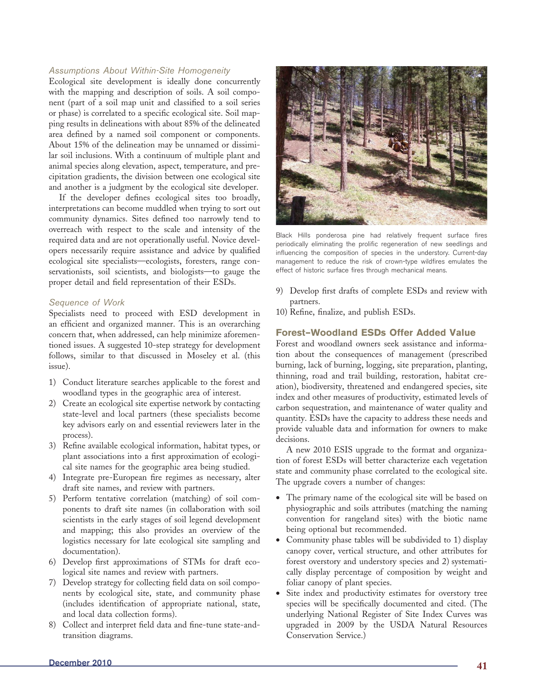## *Assumptions About Within-Site Homogeneity*

Ecological site development is ideally done concurrently with the mapping and description of soils. A soil component (part of a soil map unit and classified to a soil series or phase) is correlated to a specific ecological site. Soil mapping results in delineations with about 85% of the delineated area defined by a named soil component or components. About 15% of the delineation may be unnamed or dissimilar soil inclusions. With a continuum of multiple plant and animal species along elevation, aspect, temperature, and precipitation gradients, the division between one ecological site and another is a judgment by the ecological site developer.

If the developer defines ecological sites too broadly, interpretations can become muddled when trying to sort out community dynamics. Sites defined too narrowly tend to overreach with respect to the scale and intensity of the required data and are not operationally useful. Novice developers necessarily require assistance and advice by qualified ecological site specialists—ecologists, foresters, range conservationists, soil scientists, and biologists—to gauge the proper detail and field representation of their ESDs.

#### *Sequence of Work*

Specialists need to proceed with ESD development in an efficient and organized manner. This is an overarching concern that, when addressed, can help minimize aforementioned issues. A suggested 10-step strategy for development follows, similar to that discussed in Moseley et al. (this issue).

- 1) Conduct literature searches applicable to the forest and woodland types in the geographic area of interest.
- 2) Create an ecological site expertise network by contacting state-level and local partners (these specialists become key advisors early on and essential reviewers later in the process).
- 3) Refine available ecological information, habitat types, or plant associations into a first approximation of ecological site names for the geographic area being studied.
- 4) Integrate pre-European fire regimes as necessary, alter draft site names, and review with partners.
- 5) Perform tentative correlation (matching) of soil components to draft site names (in collaboration with soil scientists in the early stages of soil legend development and mapping; this also provides an overview of the logistics necessary for late ecological site sampling and documentation).
- 6) Develop first approximations of STMs for draft ecological site names and review with partners.
- 7) Develop strategy for collecting field data on soil components by ecological site, state, and community phase (includes identification of appropriate national, state, and local data collection forms).
- 8) Collect and interpret field data and fine-tune state-andtransition diagrams.



Black Hills ponderosa pine had relatively frequent surface fires periodically eliminating the prolific regeneration of new seedlings and influencing the composition of species in the understory. Current-day management to reduce the risk of crown-type wildfires emulates the effect of historic surface fires through mechanical means.

- 9) Develop first drafts of complete ESDs and review with partners.
- 10) Refine, finalize, and publish ESDs.

## **Forest–Woodland ESDs Offer Added Value**

Forest and woodland owners seek assistance and information about the consequences of management (prescribed burning, lack of burning, logging, site preparation, planting, thinning, road and trail building, restoration, habitat creation), biodiversity, threatened and endangered species, site index and other measures of productivity, estimated levels of carbon sequestration, and maintenance of water quality and quantity. ESDs have the capacity to address these needs and provide valuable data and information for owners to make decisions.

A new 2010 ESIS upgrade to the format and organization of forest ESDs will better characterize each vegetation state and community phase correlated to the ecological site. The upgrade covers a number of changes:

- The primary name of the ecological site will be based on physiographic and soils attributes (matching the naming convention for rangeland sites) with the biotic name being optional but recommended.
- Community phase tables will be subdivided to 1) display canopy cover, vertical structure, and other attributes for forest overstory and understory species and 2) systematically display percentage of composition by weight and foliar canopy of plant species.
- Site index and productivity estimates for overstory tree species will be specifically documented and cited. (The underlying National Register of Site Index Curves was upgraded in 2009 by the USDA Natural Resources Conservation Service.)